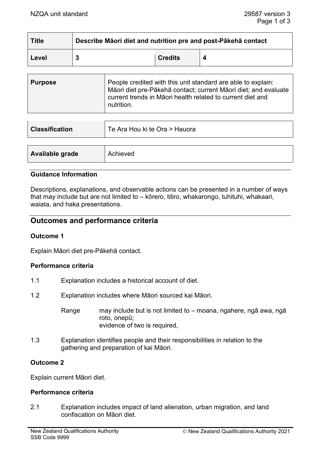| <b>Title</b> | Describe Māori diet and nutrition pre and post-Pākehā contact |                |   |
|--------------|---------------------------------------------------------------|----------------|---|
| Level        |                                                               | <b>Credits</b> | Δ |

| <b>Purpose</b> | People credited with this unit standard are able to explain:<br>Māori diet pre-Pākehā contact; current Māori diet; and evaluate<br>current trends in Māori health related to current diet and<br>nutrition. |
|----------------|-------------------------------------------------------------------------------------------------------------------------------------------------------------------------------------------------------------|
|----------------|-------------------------------------------------------------------------------------------------------------------------------------------------------------------------------------------------------------|

| <b>Classification</b> | Te Ara Hou ki te Ora > Hauora |
|-----------------------|-------------------------------|
|                       |                               |
| Available grade       | Achieved                      |

## **Guidance Information**

Descriptions, explanations, and observable actions can be presented in a number of ways that may include but are not limited to – kōrero, titiro, whakarongo, tuhituhi, whakaari, waiata, and haka presentations.

# **Outcomes and performance criteria**

## **Outcome 1**

Explain Māori diet pre-Pākehā contact.

#### **Performance criteria**

- 1.1 Explanation includes a historical account of diet.
- 1.2 Explanation includes where Māori sourced kai Māori.
	- Range may include but is not limited to moana, ngahere, ngā awa, ngā roto, onepū; evidence of two is required,
- 1.3 Explanation identifies people and their responsibilities in relation to the gathering and preparation of kai Māori.

## **Outcome 2**

Explain current Māori diet.

#### **Performance criteria**

2.1 Explanation includes impact of land alienation, urban migration, and land confiscation on Māori diet.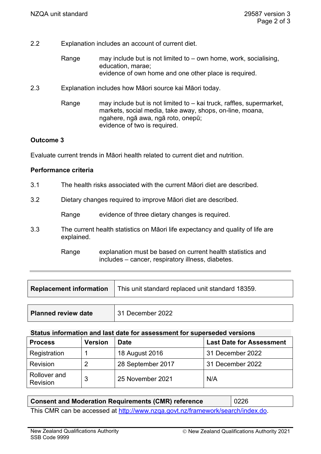- 2.2 Explanation includes an account of current diet.
	- Range may include but is not limited to  $-$  own home, work, socialising, education, marae; evidence of own home and one other place is required.
- 2.3 Explanation includes how Māori source kai Māori today.
	- Range may include but is not limited to kai truck, raffles, supermarket, markets, social media, take away, shops, on-line, moana, ngahere, ngā awa, ngā roto, onepū; evidence of two is required.

## **Outcome 3**

Evaluate current trends in Māori health related to current diet and nutrition.

## **Performance criteria**

- 3.1 The health risks associated with the current Māori diet are described.
- 3.2 Dietary changes required to improve Māori diet are described.

Range evidence of three dietary changes is required.

3.3 The current health statistics on Māori life expectancy and quality of life are explained.

> Range explanation must be based on current health statistics and includes – cancer, respiratory illness, diabetes.

| <b>Replacement information</b> | This unit standard replaced unit standard 18359. |  |
|--------------------------------|--------------------------------------------------|--|
|                                |                                                  |  |
| <b>Planned review date</b>     | 31 December 2022                                 |  |

#### **Status information and last date for assessment for superseded versions**

| <b>Process</b>                  | <b>Version</b> | <b>Date</b>       | <b>Last Date for Assessment</b> |
|---------------------------------|----------------|-------------------|---------------------------------|
| Registration                    |                | 18 August 2016    | 31 December 2022                |
| Revision                        |                | 28 September 2017 | 31 December 2022                |
| Rollover and<br><b>Revision</b> | 3              | 25 November 2021  | N/A                             |

# **Consent and Moderation Requirements (CMR) reference | 0226**

This CMR can be accessed at <http://www.nzqa.govt.nz/framework/search/index.do>.